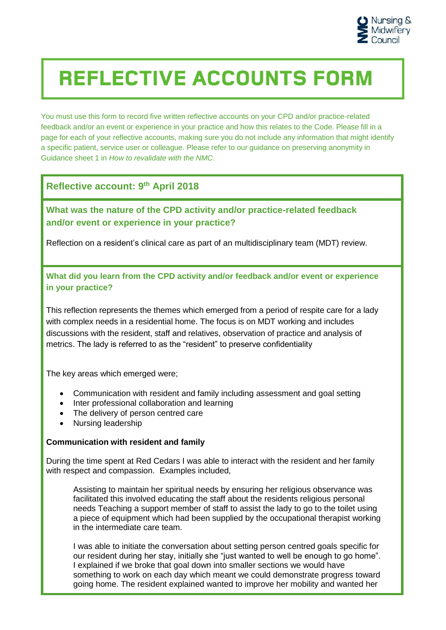

# **REFLECTIVE ACCOUNTS FORM**

You must use this form to record five written reflective accounts on your CPD and/or practice-related feedback and/or an event or experience in your practice and how this relates to the Code. Please fill in a page for each of your reflective accounts, making sure you do not include any information that might identify a specific patient, service user or colleague. Please refer to our guidance on preserving anonymity in Guidance sheet 1 in *How to revalidate with the NMC*.

# **Reflective account: 9 th April 2018**

# **What was the nature of the CPD activity and/or practice-related feedback and/or event or experience in your practice?**

Reflection on a resident's clinical care as part of an multidisciplinary team (MDT) review.

**What did you learn from the CPD activity and/or feedback and/or event or experience in your practice?**

This reflection represents the themes which emerged from a period of respite care for a lady with complex needs in a residential home. The focus is on MDT working and includes discussions with the resident, staff and relatives, observation of practice and analysis of metrics. The lady is referred to as the "resident" to preserve confidentiality

The key areas which emerged were;

- Communication with resident and family including assessment and goal setting
- Inter professional collaboration and learning
- The delivery of person centred care
- Nursing leadership

## **Communication with resident and family**

During the time spent at Red Cedars I was able to interact with the resident and her family with respect and compassion. Examples included,

Assisting to maintain her spiritual needs by ensuring her religious observance was facilitated this involved educating the staff about the residents religious personal needs Teaching a support member of staff to assist the lady to go to the toilet using a piece of equipment which had been supplied by the occupational therapist working in the intermediate care team.

I was able to initiate the conversation about setting person centred goals specific for our resident during her stay, initially she "just wanted to well be enough to go home". I explained if we broke that goal down into smaller sections we would have something to work on each day which meant we could demonstrate progress toward going home. The resident explained wanted to improve her mobility and wanted her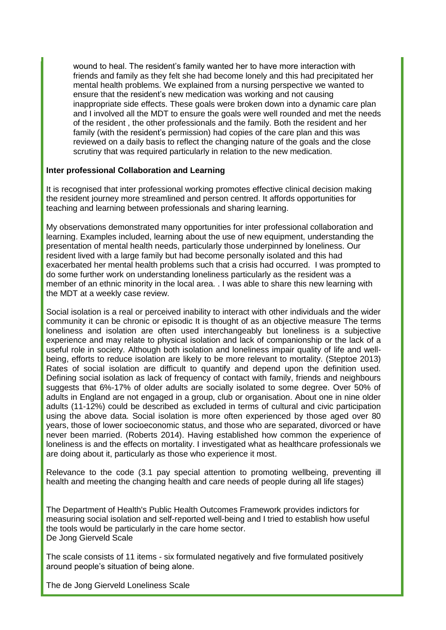wound to heal. The resident's family wanted her to have more interaction with friends and family as they felt she had become lonely and this had precipitated her mental health problems. We explained from a nursing perspective we wanted to ensure that the resident's new medication was working and not causing inappropriate side effects. These goals were broken down into a dynamic care plan and I involved all the MDT to ensure the goals were well rounded and met the needs of the resident , the other professionals and the family. Both the resident and her family (with the resident's permission) had copies of the care plan and this was reviewed on a daily basis to reflect the changing nature of the goals and the close scrutiny that was required particularly in relation to the new medication.

#### **Inter professional Collaboration and Learning**

It is recognised that inter professional working promotes effective clinical decision making the resident journey more streamlined and person centred. It affords opportunities for teaching and learning between professionals and sharing learning.

My observations demonstrated many opportunities for inter professional collaboration and learning. Examples included, learning about the use of new equipment, understanding the presentation of mental health needs, particularly those underpinned by loneliness. Our resident lived with a large family but had become personally isolated and this had exacerbated her mental health problems such that a crisis had occurred. I was prompted to do some further work on understanding loneliness particularly as the resident was a member of an ethnic minority in the local area. . I was able to share this new learning with the MDT at a weekly case review.

Social isolation is a real or perceived inability to interact with other individuals and the wider community it can be chronic or episodic It is thought of as an objective measure The terms loneliness and isolation are often used interchangeably but loneliness is a subjective experience and may relate to physical isolation and lack of companionship or the lack of a useful role in society. Although both isolation and loneliness impair quality of life and wellbeing, efforts to reduce isolation are likely to be more relevant to mortality. (Steptoe 2013) Rates of social isolation are difficult to quantify and depend upon the definition used. Defining social isolation as lack of frequency of contact with family, friends and neighbours suggests that 6%-17% of older adults are socially isolated to some degree. Over 50% of adults in England are not engaged in a group, club or organisation. About one in nine older adults (11-12%) could be described as excluded in terms of cultural and civic participation using the above data. Social isolation is more often experienced by those aged over 80 years, those of lower socioeconomic status, and those who are separated, divorced or have never been married. (Roberts 2014). Having established how common the experience of loneliness is and the effects on mortality. I investigated what as healthcare professionals we are doing about it, particularly as those who experience it most.

Relevance to the code (3.1 pay special attention to promoting wellbeing, preventing ill health and meeting the changing health and care needs of people during all life stages)

The Department of Health's Public Health Outcomes Framework provides indictors for measuring social isolation and self-reported well-being and I tried to establish how useful the tools would be particularly in the care home sector. De Jong Gierveld Scale

The scale consists of 11 items - six formulated negatively and five formulated positively around people's situation of being alone.

The de Jong Gierveld Loneliness Scale